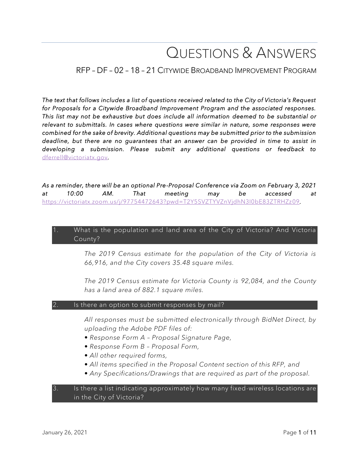# QUESTIONS & ANSWERS

# RFP – DF – 02 – 18 – 21 CITYWIDE BROADBAND IMPROVEMENT PROGRAM

*The text that follows includes a list of questions received related to the City of Victoria's Request for Proposals for a Citywide Broadband Improvement Program and the associated responses. This list may not be exhaustive but does include all information deemed to be substantial or relevant to submittals. In cases where questions were similar in nature, some responses were combined for the sake of brevity. Additional questions may be submitted prior to the submission deadline, but there are no guarantees that an answer can be provided in time to assist in developing a submission. Please submit any additional questions or feedback to*  [dferrell@victoriatx.gov](mailto:dferrell@victoriatx.gov)*.* 

*As a reminder, there will be an optional Pre-Proposal Conference via Zoom on February 3, 2021 at 10:00 AM. That meeting may be accessed at*  <https://victoriatx.zoom.us/j/97754472643?pwd=T2Y5SVZTYVZnVjdhN3I0bE83ZTRHZz09>*.* 

#### 1. What is the population and land area of the City of Victoria? And Victoria County?

*The 2019 Census estimate for the population of the City of Victoria is 66,916, and the City covers 35.48 square miles.*

*The 2019 Census estimate for Victoria County is 92,084, and the County has a land area of 882.1 square miles.* 

#### Is there an option to submit responses by mail?

*All responses must be submitted electronically through BidNet Direct, by uploading the Adobe PDF files of:*

- *Response Form A – Proposal Signature Page,*
- *Response Form B – Proposal Form,*
- *All other required forms,*
- *All items specified in the Proposal Content section of this RFP, and*
- *Any Specifications/Drawings that are required as part of the proposal.*

#### 3. Is there a list indicating approximately how many fixed-wireless locations are in the City of Victoria?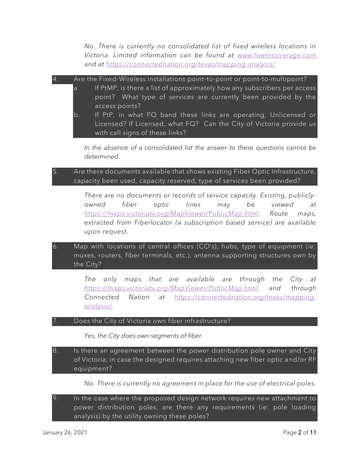*No. There is currently no consolidated list of fixed wireless locations in Victoria. Limited information can be found at [www.towercoverage.com](http://www.towercoverage.com/) and at<https://connectednation.org/texas/mapping-analysis/>*

4. Are the Fixed-Wireless installations point-to-point or point-to-multipoint?

- a. If PtMP, is there a list of approximately how any subscribers per access point? What type of services are currently been provided by the access points?
- b. If PtP, in what FQ band these links are operating, Unlicensed or Licensed? If Licensed, what FQ? Can the City of Victoria provide us with call signs of these links?

*In the absence of a consolidated list the answer to these questions cannot be determined.* 

## 5. Are there documents available that shows existing Fiber Optic Infrastructure, capacity been used, capacity reserved, type of services been provided?

*There are no documents or records of service capacity. Existing, publicly owned fiber optic lines may be viewed at [https://maps.victoriatx.org/MapViewer/PublicMap.html.](https://maps.victoriatx.org/MapViewer/PublicMap.html) Route maps, extracted from Fiberlocator (a subscription based service) are available upon request.*

6. Map with locations of central offices (CO's), hubs, type of equipment (ie: muxes, routers, fiber terminals, etc.), antenna supporting structures own by the City?

> *The only maps that are available are through the City at <https://maps.victoriatx.org/MapViewer/PublicMap.html> and through Connected Nation at [https://connectednation.org/texas/mapping](https://connectednation.org/texas/mapping-analysis/)[analysis/.](https://connectednation.org/texas/mapping-analysis/)*

#### Does the City of Victoria own fiber infrastructure?

*Yes, the City does own segments of fiber.*

- 8. Is there an agreement between the power distribution pole owner and City of Victoria, in case the designed requires attaching new fiber optic and/or RF equipment?
	- *No. There is currently no agreement in place for the use of electrical poles.*
- 9. In the case where the proposed design network requires new attachment to power distribution poles, are there any requirements (ie: pole loading analysis) by the utility owning these poles?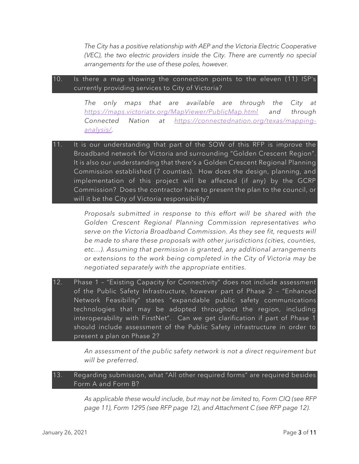*The City has a positive relationship with AEP and the Victoria Electric Cooperative (VEC), the two electric providers inside the City. There are currently no special arrangements for the use of these poles, however.*

## 10. Is there a map showing the connection points to the eleven (11) ISP's currently providing services to City of Victoria?

*The only maps that are available are through the City at <https://maps.victoriatx.org/MapViewer/PublicMap.html> and through Connected Nation at [https://connectednation.org/texas/mapping](https://connectednation.org/texas/mapping-analysis/)[analysis/.](https://connectednation.org/texas/mapping-analysis/)* 

11. It is our understanding that part of the SOW of this RFP is improve the Broadband network for Victoria and surrounding "Golden Crescent Region". It is also our understanding that there's a Golden Crescent Regional Planning Commission established (7 counties). How does the design, planning, and implementation of this project will be affected (if any) by the GCRP Commission? Does the contractor have to present the plan to the council, or will it be the City of Victoria responsibility?

> *Proposals submitted in response to this effort will be shared with the Golden Crescent Regional Planning Commission representatives who serve on the Victoria Broadband Commission. As they see fit, requests will be made to share these proposals with other jurisdictions (cities, counties, etc…). Assuming that permission is granted, any additional arrangements or extensions to the work being completed in the City of Victoria may be negotiated separately with the appropriate entities.*

12. Phase 1 – "Existing Capacity for Connectivity" does not include assessment of the Public Safety Infrastructure, however part of Phase 2 – "Enhanced Network Feasibility" states "expandable public safety communications technologies that may be adopted throughout the region, including interoperability with FirstNet". Can we get clarification if part of Phase 1 should include assessment of the Public Safety infrastructure in order to present a plan on Phase 2?

> *An assessment of the public safety network is not a direct requirement but will be preferred.*

13. Regarding submission, what "All other required forms" are required besides Form A and Form B?

> *As applicable these would include, but may not be limited to, Form CIQ (see RFP page 11), Form 1295 (see RFP page 12), and Attachment C (see RFP page 12).*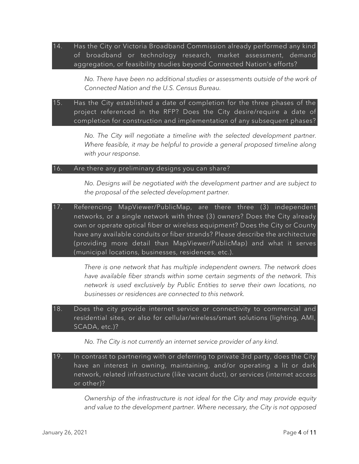14. Has the City or Victoria Broadband Commission already performed any kind of broadband or technology research, market assessment, demand aggregation, or feasibility studies beyond Connected Nation's efforts?

> *No. There have been no additional studies or assessments outside of the work of Connected Nation and the U.S. Census Bureau.*

## 15. Has the City established a date of completion for the three phases of the project referenced in the RFP? Does the City desire/require a date of completion for construction and implementation of any subsequent phases?

*No. The City will negotiate a timeline with the selected development partner.*  Where feasible, it may be helpful to provide a general proposed timeline along *with your response.*

#### 16. Are there any preliminary designs you can share?

*No. Designs will be negotiated with the development partner and are subject to the proposal of the selected development partner.*

17. Referencing MapViewer/PublicMap, are there three (3) independent networks, or a single network with three (3) owners? Does the City already own or operate optical fiber or wireless equipment? Does the City or County have any available conduits or fiber strands? Please describe the architecture (providing more detail than MapViewer/PublicMap) and what it serves (municipal locations, businesses, residences, etc.).

> *There is one network that has multiple independent owners. The network does have available fiber strands within some certain segments of the network. This network is used exclusively by Public Entities to serve their own locations, no businesses or residences are connected to this network.*

18. Does the city provide internet service or connectivity to commercial and residential sites, or also for cellular/wireless/smart solutions (lighting, AMI, SCADA, etc.)?

*No. The City is not currently an internet service provider of any kind.*

19. In contrast to partnering with or deferring to private 3rd party, does the City have an interest in owning, maintaining, and/or operating a lit or dark network, related infrastructure (like vacant duct), or services (internet access or other)?

> *Ownership of the infrastructure is not ideal for the City and may provide equity and value to the development partner. Where necessary, the City is not opposed*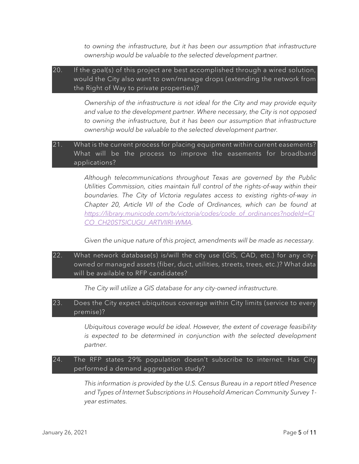*to owning the infrastructure, but it has been our assumption that infrastructure ownership would be valuable to the selected development partner.* 

## 20. If the goal(s) of this project are best accomplished through a wired solution, would the City also want to own/manage drops (extending the network from the Right of Way to private properties)?

*Ownership of the infrastructure is not ideal for the City and may provide equity and value to the development partner. Where necessary, the City is not opposed to owning the infrastructure, but it has been our assumption that infrastructure ownership would be valuable to the selected development partner.* 

## 21. What is the current process for placing equipment within current easements? What will be the process to improve the easements for broadband applications?

*Although telecommunications throughout Texas are governed by the Public Utilities Commission, cities maintain full control of the rights-of-way within their boundaries. The City of Victoria regulates access to existing rights-of-way in Chapter 20, Article VII of the Code of Ordinances, which can be found at [https://library.municode.com/tx/victoria/codes/code\\_of\\_ordinances?nodeId=CI](https://library.municode.com/tx/victoria/codes/code_of_ordinances?nodeId=CICO_CH20STSICUGU_ARTVIIRI-WMA) [CO\\_CH20STSICUGU\\_ARTVIIRI-WMA.](https://library.municode.com/tx/victoria/codes/code_of_ordinances?nodeId=CICO_CH20STSICUGU_ARTVIIRI-WMA)* 

*Given the unique nature of this project, amendments will be made as necessary.* 

22. What network database(s) is/will the city use (GIS, CAD, etc.) for any city owned or managed assets (fiber, duct, utilities, streets, trees, etc.)? What data will be available to RFP candidates?

*The City will utilize a GIS database for any city-owned infrastructure.*

## 23. Does the City expect ubiquitous coverage within City limits (service to every premise)?

*Ubiquitous coverage would be ideal. However, the extent of coverage feasibility is expected to be determined in conjunction with the selected development partner.*

# 24. The RFP states 29% population doesn't subscribe to internet. Has City performed a demand aggregation study?

*This information is provided by the U.S. Census Bureau in a report titled Presence and Types of Internet Subscriptions in Household American Community Survey 1 year estimates.*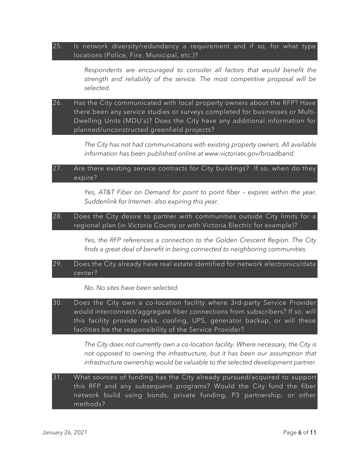25. Is network diversity/redundancy a requirement and if so, for what type locations (Police, Fire, Municipal, etc.)?

> *Respondents are encouraged to consider all factors that would benefit the strength and reliability of the service. The most competitive proposal will be selected.*

26. Has the City communicated with local property owners about the RFP? Have there been any service studies or surveys completed for businesses or Multi-Dwelling Units (MDU's)? Does the City have any additional information for planned/unconstructed greenfield projects?

> *The City has not had communications with existing property owners. All available information has been published online at www.victoriatx.gov/broadband.*

#### 27. Are there existing service contracts for City buildings? If so, when do they expire?

*Yes, AT&T Fiber on Demand for point to point fiber – expires within the year. Suddenlink for Internet– also expiring this year.*

## 28. Does the City desire to partner with communities outside City limits for a regional plan (in Victoria County or with Victoria Electric for example)?

*Yes, the RFP references a connection to the Golden Crescent Region. The City finds a great deal of benefit in being connected to neighboring communities.*

#### 29. Does the City already have real estate identified for network electronics/data center?

#### *No. No sites have been selected.*

30. Does the City own a co-location facility where 3rd-party Service Provider would interconnect/aggregate fiber connections from subscribers? If so, will this facility provide racks, cooling, UPS, generator backup, or will these facilities be the responsibility of the Service Provider?

> *The City does not currently own a co-location facility. Where necessary, the City is not opposed to owning the infrastructure, but it has been our assumption that infrastructure ownership would be valuable to the selected development partner.*

31. What sources of funding has the City already pursued/acquired to support this RFP and any subsequent programs? Would the City fund the fiber network build using bonds, private funding, P3 partnership, or other methods?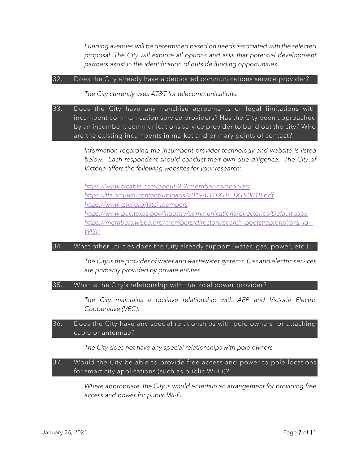*Funding avenues will be determined based on needs associated with the selected proposal. The City will explore all options and asks that potential development partners assist in the identification of outside funding opportunities.* 

#### 32. Does the City already have a dedicated communications service provider?

*The City currently uses AT&T for telecommunications.*

33. Does the City have any franchise agreements or legal limitations with incumbent communication service providers? Has the City been approached by an incumbent communications service provider to build out the city? Who are the existing incumbents in market and primary points of contact?

> *Information regarding the incumbent provider technology and website is listed* below. Each respondent should conduct their own due diligence. The City of *Victoria offers the following websites for your research:*

*<https://www.txcable.com/about-2-2/member-companies/> [https://tta.org/wp-content/uploads/2019/01/TXTR\\_TXTR0018.pdf](https://tta.org/wp-content/uploads/2019/01/TXTR_TXTR0018.pdf) <https://www.tstci.org/tstci-members> <https://www.puc.texas.gov/industry/communications/directories/Default.aspx> [https://members.wispa.org/members/directory/search\\_bootstrap.php?org\\_id=](https://members.wispa.org/members/directory/search_bootstrap.php?org_id=WISP) [WISP](https://members.wispa.org/members/directory/search_bootstrap.php?org_id=WISP)*

#### 34. What other utilities does the City already support (water, gas, power, etc.)?

*The City is the provider of water and wastewater systems. Gas and electric services are primarily provided by private entities.* 

#### 35. What is the City's relationship with the local power provider?

*The City maintains a positive relationship with AEP and Victoria Electric Cooperative (VEC).*

#### 36. Does the City have any special relationships with pole owners for attaching cable or antennae?

*The City does not have any special relationships with pole owners.*

## 37. Would the City be able to provide free access and power to pole locations for smart city applications (such as public Wi-Fi)?

*Where appropriate, the City is would entertain an arrangement for providing free access and power for public Wi-Fi.*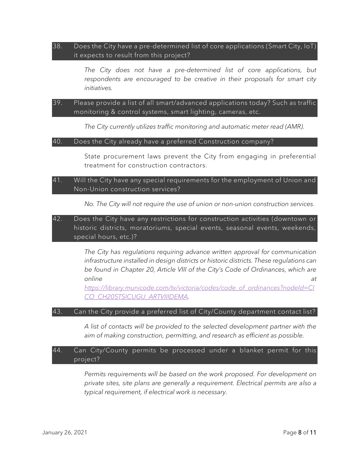#### 38. Does the City have a pre-determined list of core applications (Smart City, IoT) it expects to result from this project?

*The City does not have a pre-determined list of core applications, but respondents are encouraged to be creative in their proposals for smart city initiatives.* 

## 39. Please provide a list of all smart/advanced applications today? Such as traffic monitoring & control systems, smart lighting, cameras, etc.

*The City currently utilizes traffic monitoring and automatic meter read (AMR).*

#### 40. Does the City already have a preferred Construction company?

State procurement laws prevent the City from engaging in preferential treatment for construction contractors.

#### 41. Will the City have any special requirements for the employment of Union and Non-Union construction services?

*No. The City will not require the use of union or non-union construction services.* 

## 42. Does the City have any restrictions for construction activities (downtown or historic districts, moratoriums, special events, seasonal events, weekends, special hours, etc.)?

*The City has regulations requiring advance written approval for communication infrastructure installed in design districts or historic districts. These regulations can be found in Chapter 20, Article VIII of the City's Code of Ordinances, which are online at* 

*[https://library.municode.com/tx/victoria/codes/code\\_of\\_ordinances?nodeId=CI](https://library.municode.com/tx/victoria/codes/code_of_ordinances?nodeId=CICO_CH20STSICUGU_ARTVIIIDEMA) [CO\\_CH20STSICUGU\\_ARTVIIIDEMA.](https://library.municode.com/tx/victoria/codes/code_of_ordinances?nodeId=CICO_CH20STSICUGU_ARTVIIIDEMA)* 

#### 43. Can the City provide a preferred list of City/County department contact list?

*A list of contacts will be provided to the selected development partner with the aim of making construction, permitting, and research as efficient as possible.* 

## 44. Can City/County permits be processed under a blanket permit for this project?

Permits requirements will be based on the work proposed. For development on *private sites, site plans are generally a requirement. Electrical permits are also a typical requirement, if electrical work is necessary.*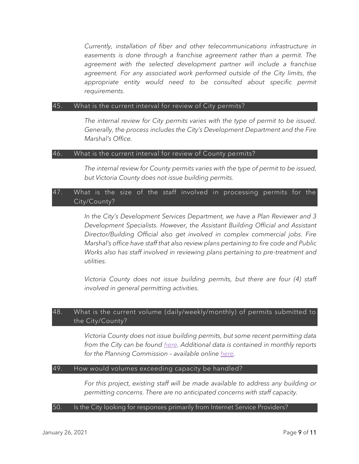*Currently, installation of fiber and other telecommunications infrastructure in easements is done through a franchise agreement rather than a permit. The agreement with the selected development partner will include a franchise*  agreement. For any associated work performed outside of the City limits, the appropriate entity would need to be consulted about specific permit *requirements.* 

#### 45. What is the current interval for review of City permits?

*The internal review for City permits varies with the type of permit to be issued. Generally, the process includes the City's Development Department and the Fire Marshal's Office.* 

## 46. What is the current interval for review of County permits?

*The internal review for County permits varies with the type of permit to be issued, but Victoria County does not issue building permits.* 

# 47. What is the size of the staff involved in processing permits for the City/County?

*In the City's Development Services Department, we have a Plan Reviewer and 3 Development Specialists. However, the Assistant Building Official and Assistant Director/Building Official also get involved in complex commercial jobs. Fire Marshal's office have staff that also review plans pertaining to fire code and Public Works also has staff involved in reviewing plans pertaining to pre-treatment and utilities.*

*Victoria County does not issue building permits, but there are four (4) staff involved in general permitting activities.* 

## 48. What is the current volume (daily/weekly/monthly) of permits submitted to the City/County?

*Victoria County does not issue building permits, but some recent permitting data from the City can be found [here.](https://victoriatx-my.sharepoint.com/:b:/g/personal/dferrell_victoriatx_gov/EWSXs2PGLnxBkaZ_tTlWQusBXsOZV0F0zvucoiyXPbKtpA?e=MMxsL0) Additional data is contained in monthly reports for the Planning Commission – available online [here.](https://victoriatx.civicweb.net/Portal/MeetingTypeList.aspx)*

#### 49. How would volumes exceeding capacity be handled?

For this project, existing staff will be made available to address any building or *permitting concerns. There are no anticipated concerns with staff capacity.* 

#### 50. Is the City looking for responses primarily from Internet Service Providers?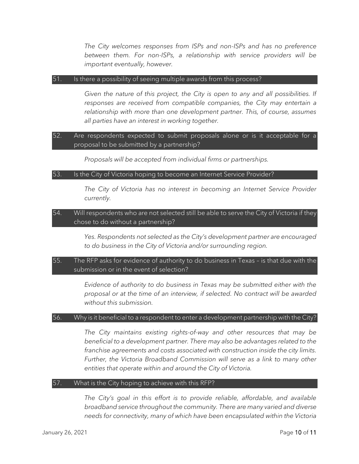*The City welcomes responses from ISPs and non-ISPs and has no preference between them. For non-ISPs, a relationship with service providers will be important eventually, however.* 

#### 51. Is there a possibility of seeing multiple awards from this process?

*Given the nature of this project, the City is open to any and all possibilities. If responses are received from compatible companies, the City may entertain a relationship with more than one development partner. This, of course, assumes all parties have an interest in working together.*

## 52. Are respondents expected to submit proposals alone or is it acceptable for a proposal to be submitted by a partnership?

*Proposals will be accepted from individual firms or partnerships.*

#### 53. Is the City of Victoria hoping to become an Internet Service Provider?

*The City of Victoria has no interest in becoming an Internet Service Provider currently.*

## 54. Will respondents who are not selected still be able to serve the City of Victoria if they chose to do without a partnership?

*Yes. Respondents not selected as the City's development partner are encouraged to do business in the City of Victoria and/or surrounding region.*

## 55. The RFP asks for evidence of authority to do business in Texas – is that due with the submission or in the event of selection?

*Evidence of authority to do business in Texas may be submitted either with the proposal or at the time of an interview, if selected. No contract will be awarded without this submission.* 

#### 56. Why is it beneficial to a respondent to enter a development partnership with the City?

*The City maintains existing rights-of-way and other resources that may be beneficial to a development partner. There may also be advantages related to the franchise agreements and costs associated with construction inside the city limits.*  Further, the Victoria Broadband Commission will serve as a link to many other *entities that operate within and around the City of Victoria.* 

#### 57. What is the City hoping to achieve with this RFP?

*The City's goal in this effort is to provide reliable, affordable, and available broadband service throughout the community. There are many varied and diverse needs for connectivity, many of which have been encapsulated within the Victoria*